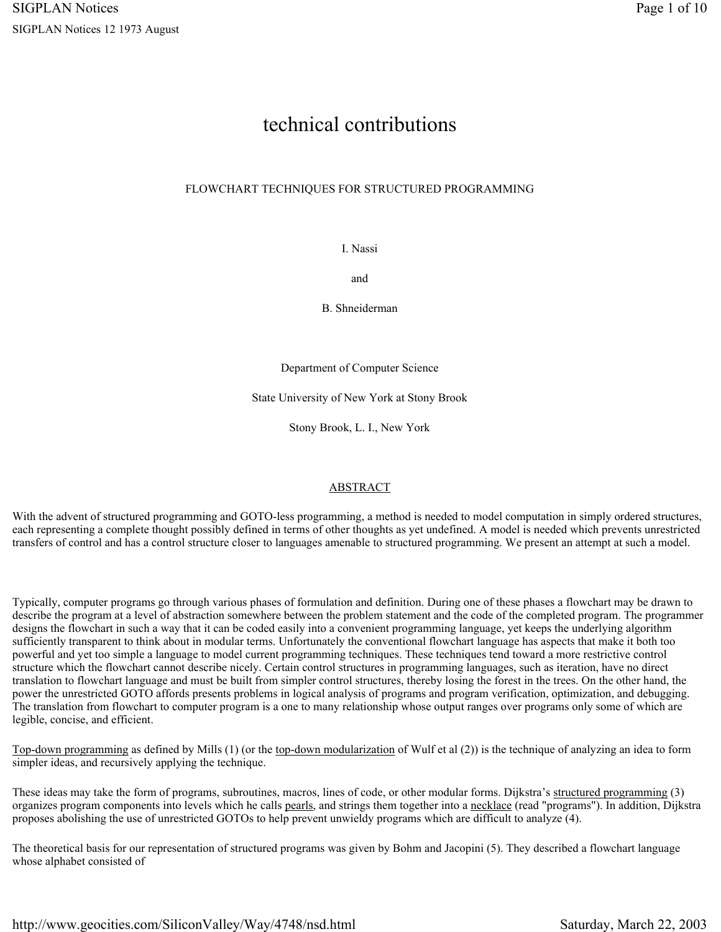# technical contributions

## FLOWCHART TECHNIQUES FOR STRUCTURED PROGRAMMING

I. Nassi

and

B. Shneiderman

Department of Computer Science

State University of New York at Stony Brook

Stony Brook, L. I., New York

## ABSTRACT

With the advent of structured programming and GOTO-less programming, a method is needed to model computation in simply ordered structures, each representing a complete thought possibly defined in terms of other thoughts as yet undefined. A model is needed which prevents unrestricted transfers of control and has a control structure closer to languages amenable to structured programming. We present an attempt at such a model.

Typically, computer programs go through various phases of formulation and definition. During one of these phases a flowchart may be drawn to describe the program at a level of abstraction somewhere between the problem statement and the code of the completed program. The programmer designs the flowchart in such a way that it can be coded easily into a convenient programming language, yet keeps the underlying algorithm sufficiently transparent to think about in modular terms. Unfortunately the conventional flowchart language has aspects that make it both too powerful and yet too simple a language to model current programming techniques. These techniques tend toward a more restrictive control structure which the flowchart cannot describe nicely. Certain control structures in programming languages, such as iteration, have no direct translation to flowchart language and must be built from simpler control structures, thereby losing the forest in the trees. On the other hand, the power the unrestricted GOTO affords presents problems in logical analysis of programs and program verification, optimization, and debugging. The translation from flowchart to computer program is a one to many relationship whose output ranges over programs only some of which are legible, concise, and efficient.

Top-down programming as defined by Mills (1) (or the top-down modularization of Wulf et al (2)) is the technique of analyzing an idea to form simpler ideas, and recursively applying the technique.

These ideas may take the form of programs, subroutines, macros, lines of code, or other modular forms. Dijkstra's structured programming (3) organizes program components into levels which he calls pearls, and strings them together into a necklace (read "programs"). In addition, Dijkstra proposes abolishing the use of unrestricted GOTOs to help prevent unwieldy programs which are difficult to analyze (4).

The theoretical basis for our representation of structured programs was given by Bohm and Jacopini (5). They described a flowchart language whose alphabet consisted of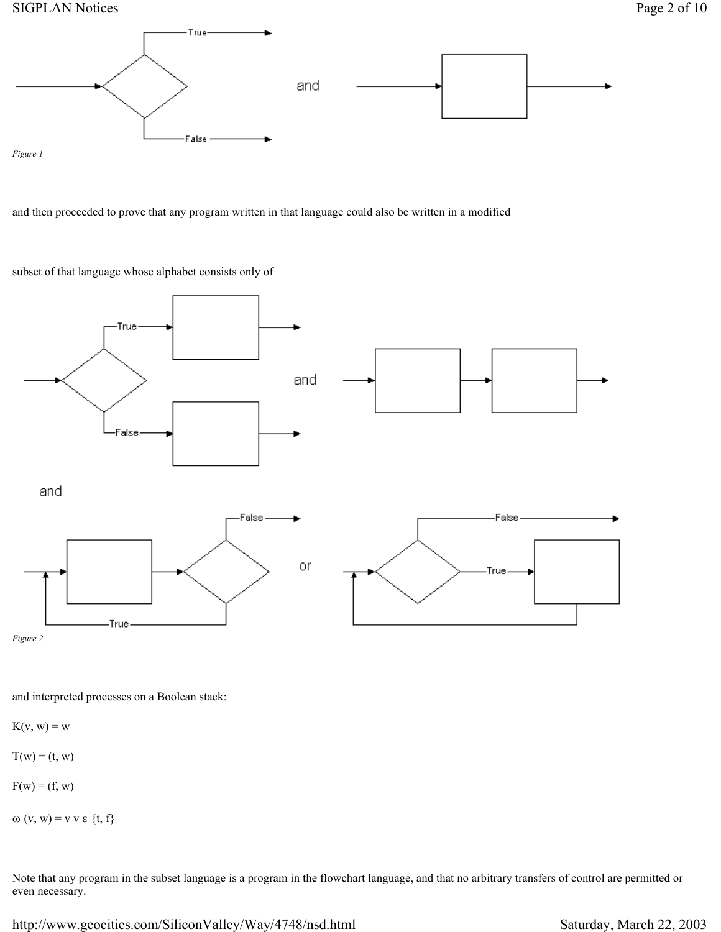

and then proceeded to prove that any program written in that language could also be written in a modified

subset of that language whose alphabet consists only of



and interpreted processes on a Boolean stack:

 $K(v, w) = w$ 

 $T(w) = (t, w)$ 

 $F(w) = (f, w)$ 

ω  $(v, w) = v v \varepsilon \{t, f\}$ 

Note that any program in the subset language is a program in the flowchart language, and that no arbitrary transfers of control are permitted or even necessary.

http://www.geocities.com/SiliconValley/Way/4748/nsd.html Saturday, March 22, 2003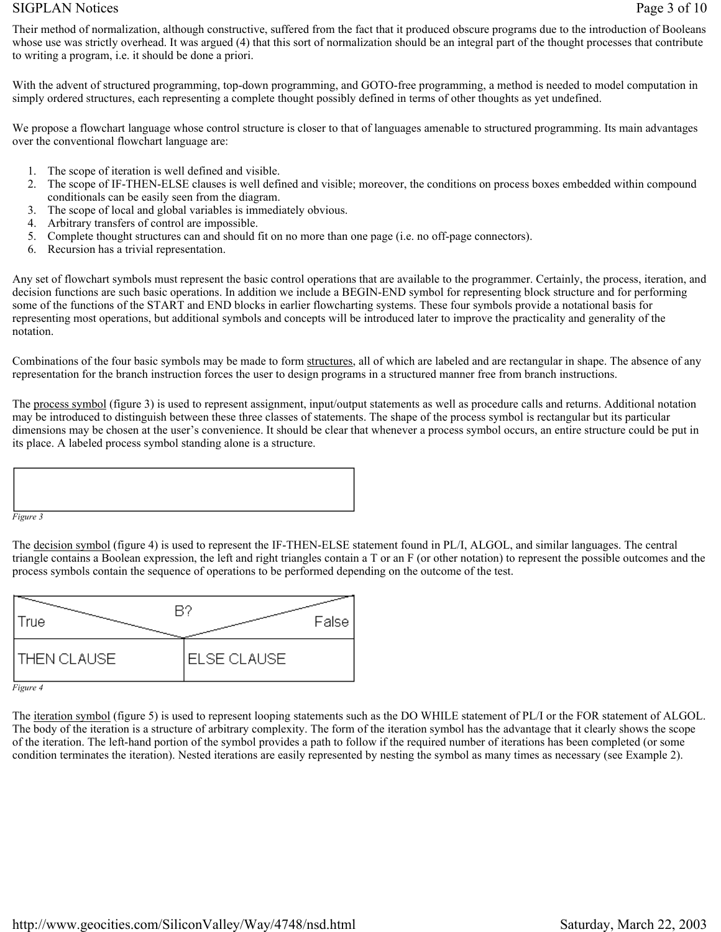#### SIGPLAN Notices Page 3 of 10

Their method of normalization, although constructive, suffered from the fact that it produced obscure programs due to the introduction of Booleans whose use was strictly overhead. It was argued (4) that this sort of normalization should be an integral part of the thought processes that contribute to writing a program, i.e. it should be done a priori.

With the advent of structured programming, top-down programming, and GOTO-free programming, a method is needed to model computation in simply ordered structures, each representing a complete thought possibly defined in terms of other thoughts as yet undefined.

We propose a flowchart language whose control structure is closer to that of languages amenable to structured programming. Its main advantages over the conventional flowchart language are:

- 1. The scope of iteration is well defined and visible.
- 2. The scope of IF-THEN-ELSE clauses is well defined and visible; moreover, the conditions on process boxes embedded within compound conditionals can be easily seen from the diagram.
- 3. The scope of local and global variables is immediately obvious.
- 4. Arbitrary transfers of control are impossible.
- 5. Complete thought structures can and should fit on no more than one page (i.e. no off-page connectors).
- 6. Recursion has a trivial representation.

Any set of flowchart symbols must represent the basic control operations that are available to the programmer. Certainly, the process, iteration, and decision functions are such basic operations. In addition we include a BEGIN-END symbol for representing block structure and for performing some of the functions of the START and END blocks in earlier flowcharting systems. These four symbols provide a notational basis for representing most operations, but additional symbols and concepts will be introduced later to improve the practicality and generality of the notation.

Combinations of the four basic symbols may be made to form structures, all of which are labeled and are rectangular in shape. The absence of any representation for the branch instruction forces the user to design programs in a structured manner free from branch instructions.

The process symbol (figure 3) is used to represent assignment, input/output statements as well as procedure calls and returns. Additional notation may be introduced to distinguish between these three classes of statements. The shape of the process symbol is rectangular but its particular dimensions may be chosen at the user's convenience. It should be clear that whenever a process symbol occurs, an entire structure could be put in its place. A labeled process symbol standing alone is a structure.

| Figure 3 |  |  |
|----------|--|--|

The decision symbol (figure 4) is used to represent the IF-THEN-ELSE statement found in PL/I, ALGOL, and similar languages. The central triangle contains a Boolean expression, the left and right triangles contain a T or an F (or other notation) to represent the possible outcomes and the process symbols contain the sequence of operations to be performed depending on the outcome of the test.

| <b>True</b>         | R2<br>False         |
|---------------------|---------------------|
| <b>ITHEN CLAUSE</b> | <b>IELSE CLAUSE</b> |

The iteration symbol (figure 5) is used to represent looping statements such as the DO WHILE statement of PL/I or the FOR statement of ALGOL. The body of the iteration is a structure of arbitrary complexity. The form of the iteration symbol has the advantage that it clearly shows the scope of the iteration. The left-hand portion of the symbol provides a path to follow if the required number of iterations has been completed (or some condition terminates the iteration). Nested iterations are easily represented by nesting the symbol as many times as necessary (see Example 2).

*Figure 4*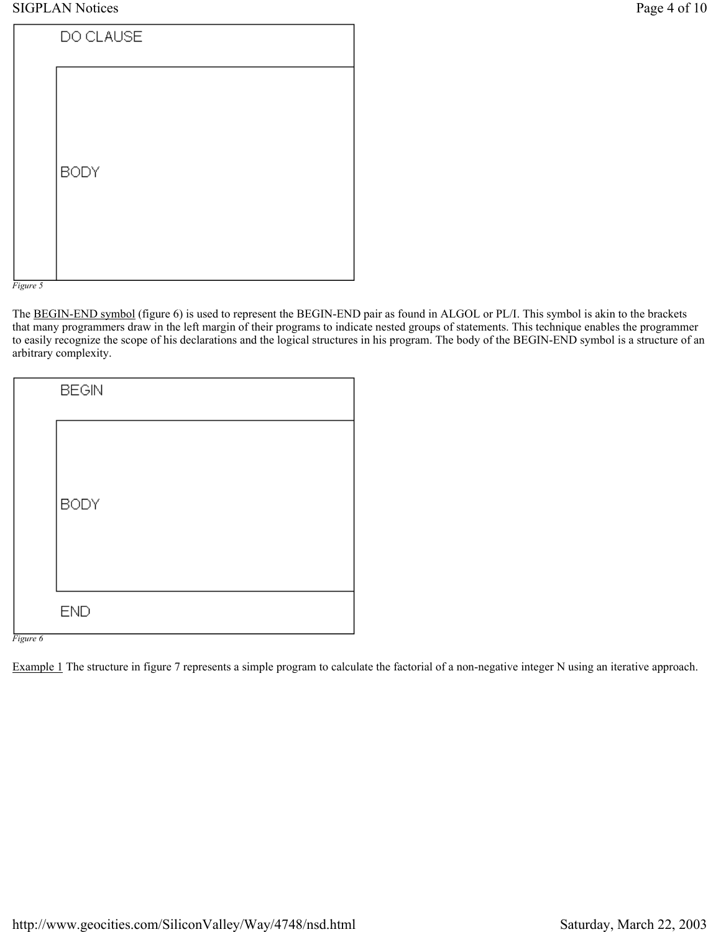| DO CLAUSE   |  |  |
|-------------|--|--|
|             |  |  |
|             |  |  |
|             |  |  |
|             |  |  |
| <b>BODY</b> |  |  |
|             |  |  |
|             |  |  |
|             |  |  |
|             |  |  |

*Figure 5* 

The BEGIN-END symbol (figure 6) is used to represent the BEGIN-END pair as found in ALGOL or PL/I. This symbol is akin to the brackets that many programmers draw in the left margin of their programs to indicate nested groups of statements. This technique enables the programmer to easily recognize the scope of his declarations and the logical structures in his program. The body of the BEGIN-END symbol is a structure of an arbitrary complexity.

|          | <b>BEGIN</b> |
|----------|--------------|
|          | <b>BODY</b>  |
| Figure 6 | <b>END</b>   |

Example 1 The structure in figure 7 represents a simple program to calculate the factorial of a non-negative integer N using an iterative approach.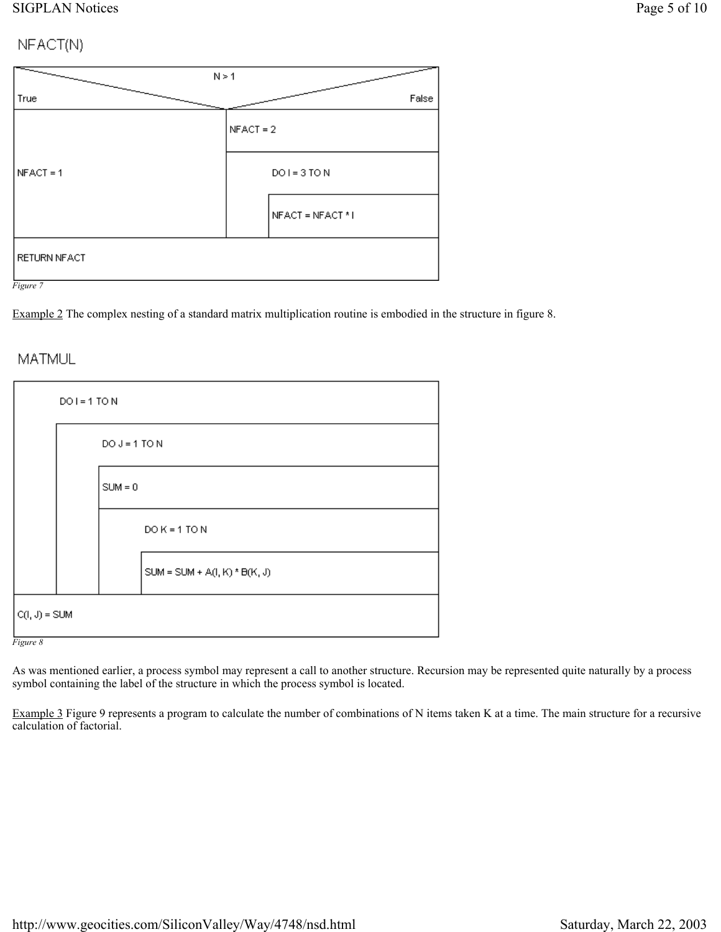# NFACT(N)



*Figure 7*

Example 2 The complex nesting of a standard matrix multiplication routine is embodied in the structure in figure 8.

## MATMUL



*Figure 8* 

As was mentioned earlier, a process symbol may represent a call to another structure. Recursion may be represented quite naturally by a process symbol containing the label of the structure in which the process symbol is located.

Example 3 Figure 9 represents a program to calculate the number of combinations of N items taken K at a time. The main structure for a recursive calculation of factorial.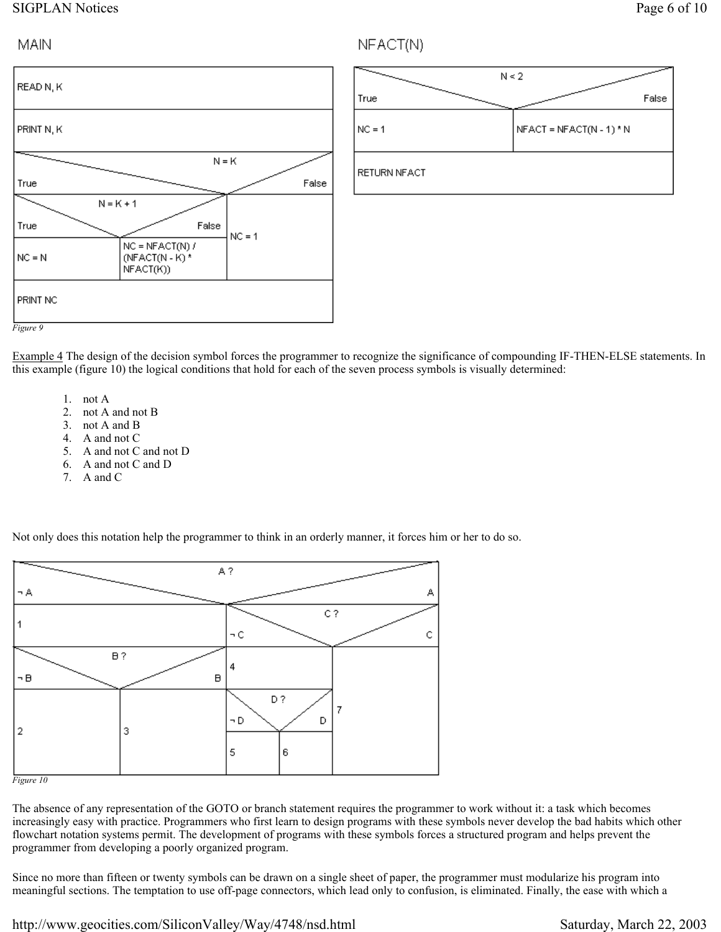## SIGPLAN Notices Page 6 of 10



*Figure 9* 

Example 4 The design of the decision symbol forces the programmer to recognize the significance of compounding IF-THEN-ELSE statements. In this example (figure 10) the logical conditions that hold for each of the seven process symbols is visually determined:

- 1. not A
- 2. not A and not B
- 3. not A and B
- 4. A and not C
- 5. A and not C and not D
- 6. A and not C and D
- 7. A and C



Not only does this notation help the programmer to think in an orderly manner, it forces him or her to do so.

*Figure 10* 

The absence of any representation of the GOTO or branch statement requires the programmer to work without it: a task which becomes increasingly easy with practice. Programmers who first learn to design programs with these symbols never develop the bad habits which other flowchart notation systems permit. The development of programs with these symbols forces a structured program and helps prevent the programmer from developing a poorly organized program.

Since no more than fifteen or twenty symbols can be drawn on a single sheet of paper, the programmer must modularize his program into meaningful sections. The temptation to use off-page connectors, which lead only to confusion, is eliminated. Finally, the ease with which a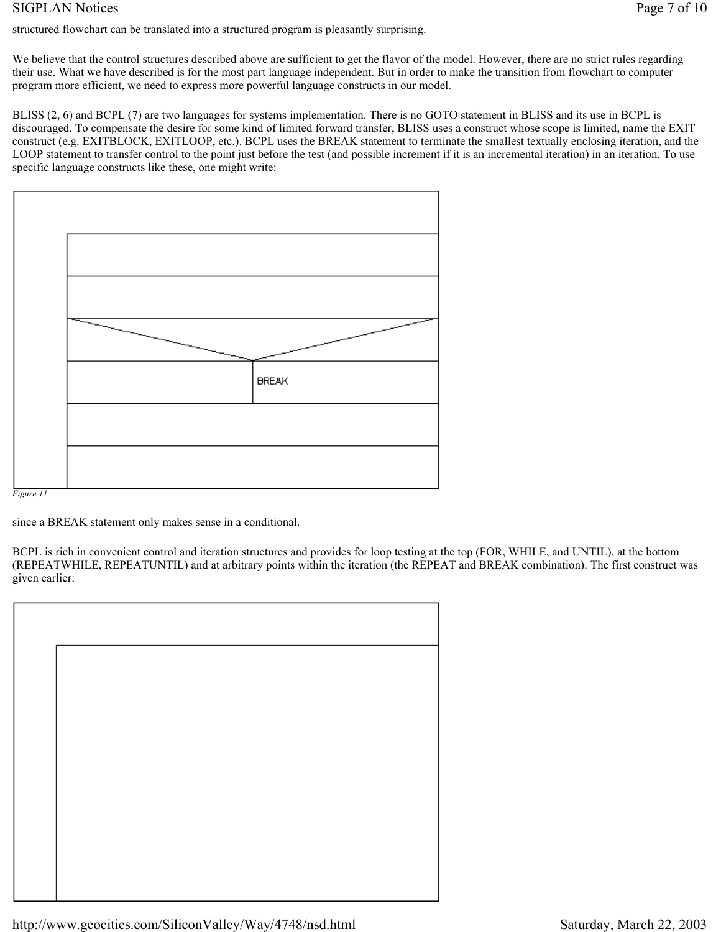## SIGPLAN Notices Page 7 of 10

structured flowchart can be translated into a structured program is pleasantly surprising.

We believe that the control structures described above are sufficient to get the flavor of the model. However, there are no strict rules regarding their use. What we have described is for the most part language independent. But in order to make the transition from flowchart to computer program more efficient, we need to express more powerful language constructs in our model.

BLISS (2, 6) and BCPL (7) are two languages for systems implementation. There is no GOTO statement in BLISS and its use in BCPL is discouraged. To compensate the desire for some kind of limited forward transfer, BLISS uses a construct whose scope is limited, name the EXIT construct (e.g. EXITBLOCK, EXITLOOP, etc.). BCPL uses the BREAK statement to terminate the smallest textually enclosing iteration, and the LOOP statement to transfer control to the point just before the test (and possible increment if it is an incremental iteration) in an iteration. To use specific language constructs like these, one might write:



*Figure 11* 

since a BREAK statement only makes sense in a conditional.

BCPL is rich in convenient control and iteration structures and provides for loop testing at the top (FOR, WHILE, and UNTIL), at the bottom (REPEATWHILE, REPEATUNTIL) and at arbitrary points within the iteration (the REPEAT and BREAK combination). The first construct was given earlier: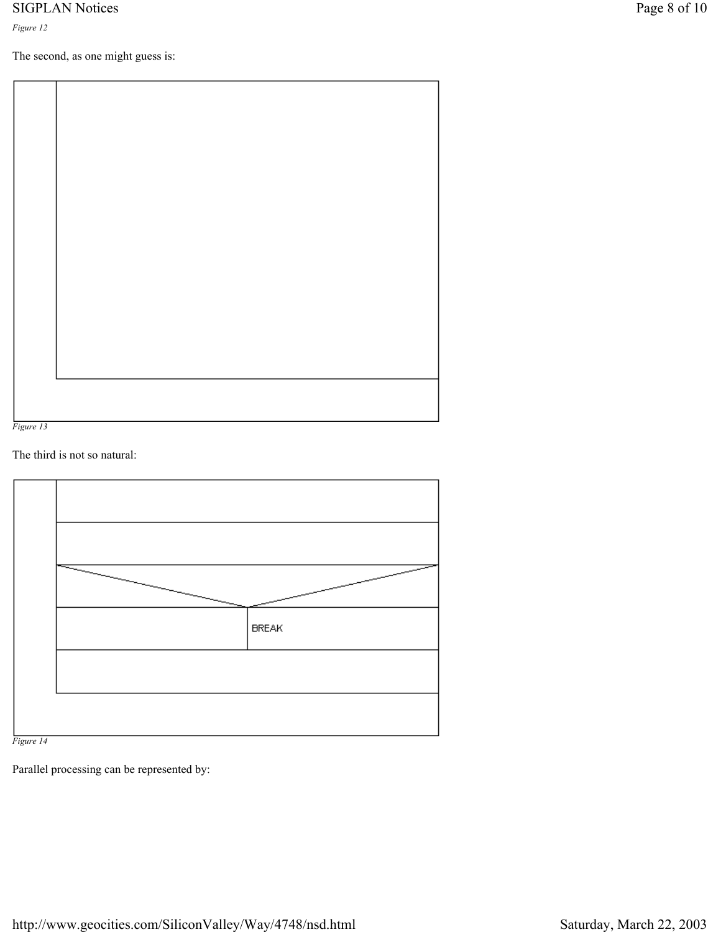## SIGPLAN Notices Page 8 of 10

*Figure 12* 



*Figure 13* 

The third is not so natural:



*Figure 14* 

Parallel processing can be represented by: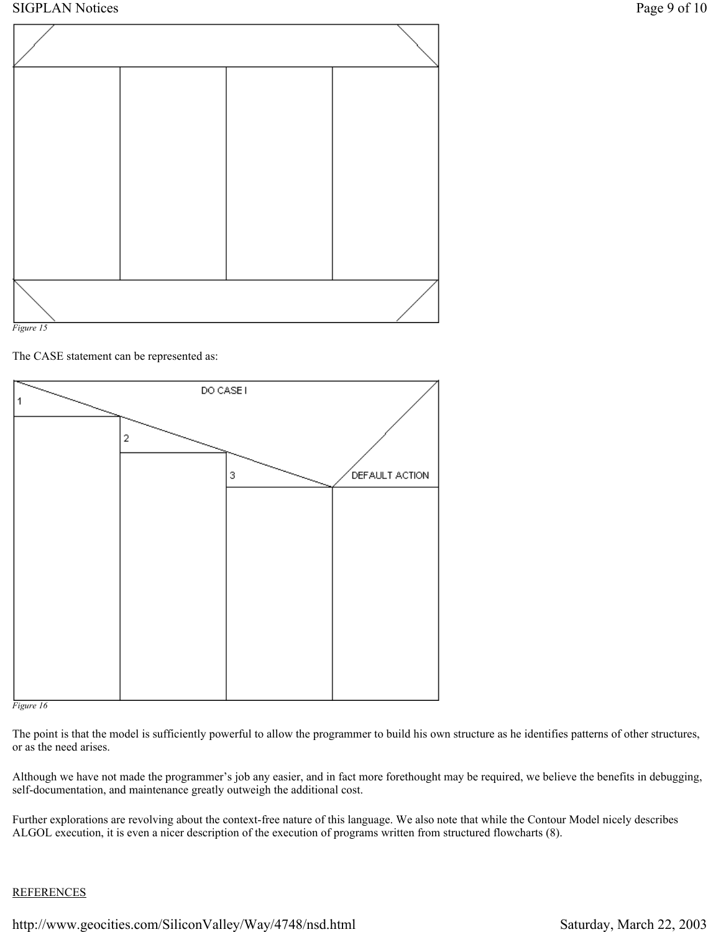

The CASE statement can be represented as:



*Figure 16* 

The point is that the model is sufficiently powerful to allow the programmer to build his own structure as he identifies patterns of other structures, or as the need arises.

Although we have not made the programmer's job any easier, and in fact more forethought may be required, we believe the benefits in debugging, self-documentation, and maintenance greatly outweigh the additional cost.

Further explorations are revolving about the context-free nature of this language. We also note that while the Contour Model nicely describes ALGOL execution, it is even a nicer description of the execution of programs written from structured flowcharts (8).

#### **REFERENCES**

http://www.geocities.com/SiliconValley/Way/4748/nsd.html Saturday, March 22, 2003